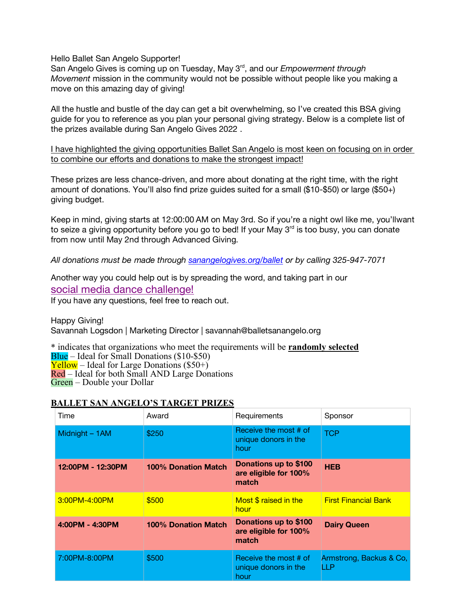Hello Ballet San Angelo Supporter!

San Angelo Gives is coming up on Tuesday, May 3<sup>rd</sup>, and our *Empowerment through Movement* mission in the community would not be possible without people like you making a move on this amazing day of giving!

All the hustle and bustle of the day can get a bit overwhelming, so I've created this BSA giving guide for you to reference as you plan your personal giving strategy. Below is a complete list of the prizes available during San Angelo Gives 2022 .

I have highlighted the giving opportunities Ballet San Angelo is most keen on focusing on in order to combine our efforts and donations to make the strongest impact!

These prizes are less chance-driven, and more about donating at the right time, with the right amount of donations. You'll also find prize guides suited for a small (\$10-\$50) or large (\$50+) giving budget.

Keep in mind, giving starts at 12:00:00 AM on May 3rd. So if you're a night owl like me, you'llwant to seize a giving opportunity before you go to bed! If your May  $3<sup>rd</sup>$  is too busy, you can donate from now until May 2nd through Advanced Giving.

*All donations must be made through sanangelogives.org/ballet or by calling 325-947-7071*

Another way you could help out is by spreading the word, and taking part in our social media dance challenge!

If you have any questions, feel free to reach out.

Happy Giving! Savannah Logsdon | Marketing Director | savannah@balletsanangelo.org

\* indicates that organizations who meet the requirements will be **randomly selected**  $Blue$  – Ideal for Small Donations  $(\$10-\$50)$ **Yellow** – Ideal for Large Donations  $(\$50+)$ Red – Ideal for both Small AND Large Donations Green – Double your Dollar

| Time              | Award                      | Requirements                                            | Sponsor                        |
|-------------------|----------------------------|---------------------------------------------------------|--------------------------------|
| Midnight - 1AM    | \$250                      | Receive the most # of<br>unique donors in the<br>hour   | <b>TCP</b>                     |
| 12:00PM - 12:30PM | <b>100% Donation Match</b> | Donations up to \$100<br>are eligible for 100%<br>match | <b>HEB</b>                     |
| 3:00PM-4:00PM     | \$500                      | Most \$ raised in the<br>hour                           | <b>First Financial Bank</b>    |
| 4:00PM - 4:30PM   | <b>100% Donation Match</b> | Donations up to \$100<br>are eligible for 100%<br>match | <b>Dairy Queen</b>             |
| 7:00PM-8:00PM     | \$500                      | Receive the most # of<br>unique donors in the<br>hour   | Armstrong, Backus & Co,<br>LLP |

## **BALLET SAN ANGELO'S TARGET PRIZES**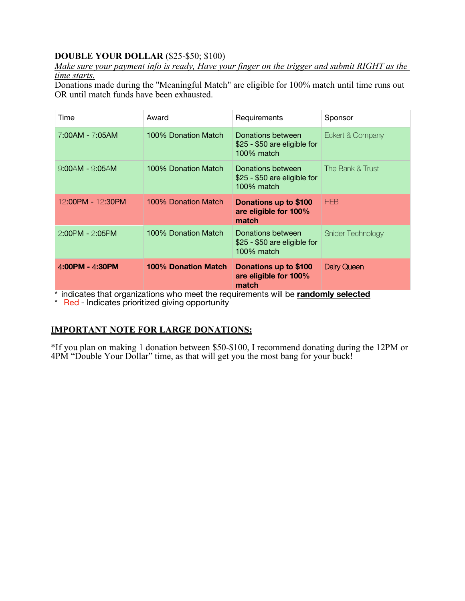## **DOUBLE YOUR DOLLAR** (\$25-\$50; \$100)

*Make sure your payment info is ready, Have your finger on the trigger and submit RIGHT as the time starts.*

Donations made during the "Meaningful Match" are eligible for 100% match until time runs out OR until match funds have been exhausted.

| Time                  | Award                      | Requirements                                                    | Sponsor           |
|-----------------------|----------------------------|-----------------------------------------------------------------|-------------------|
| 7:00AM - 7:05AM       | 100% Donation Match        | Donations between<br>\$25 - \$50 are eligible for<br>100% match | Eckert & Company  |
| $9.00$ AM - $9.05$ AM | 100% Donation Match        | Donations between<br>\$25 - \$50 are eligible for<br>100% match | The Bank & Trust  |
| 12:00PM - 12:30PM     | 100% Donation Match        | Donations up to \$100<br>are eligible for 100%<br>match         | <b>HFB</b>        |
| 2:00PM - 2:05PM       | 100% Donation Match        | Donations between<br>\$25 - \$50 are eligible for<br>100% match | Snider Technology |
| 4:00PM - 4:30PM       | <b>100% Donation Match</b> | Donations up to \$100<br>are eligible for 100%<br>match         | Dairy Queen       |

\* indicates that organizations who meet the requirements will be **randomly selected**

\* Red - Indicates prioritized giving opportunity

## **IMPORTANT NOTE FOR LARGE DONATIONS:**

\*If you plan on making 1 donation between \$50-\$100, I recommend donating during the 12PM or 4PM "Double Your Dollar" time, as that will get you the most bang for your buck!